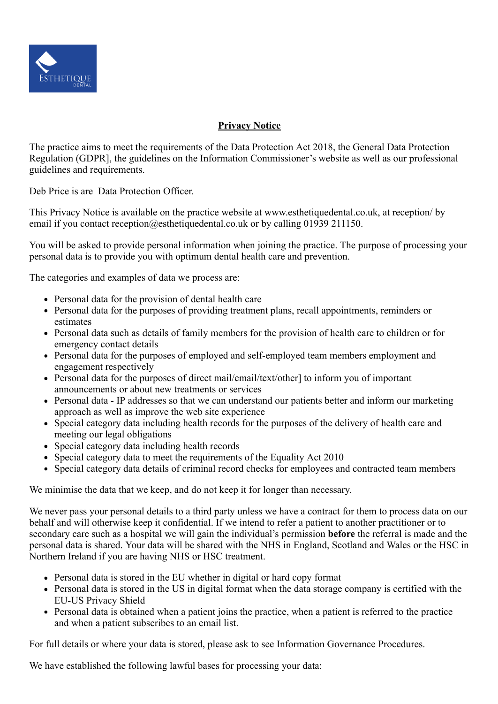

## **Privacy Notice**

The practice aims to meet the requirements of the Data Protection Act 2018, the General Data Protection Regulation (GDPR], the guidelines on the Information Commissioner's website as well as our professional guidelines and requirements.

Deb Price is are Data Protection Officer.

This Privacy Notice is available on the practice website at www.esthetiquedental.co.uk, at reception/ by email if you contact reception@esthetiquedental.co.uk or by calling 01939 211150.

You will be asked to provide personal information when joining the practice. The purpose of processing your personal data is to provide you with optimum dental health care and prevention.

The categories and examples of data we process are:

- Personal data for the provision of dental health care
- Personal data for the purposes of providing treatment plans, recall appointments, reminders or estimates
- Personal data such as details of family members for the provision of health care to children or for emergency contact details
- Personal data for the purposes of employed and self-employed team members employment and engagement respectively
- Personal data for the purposes of direct mail/email/text/other] to inform you of important announcements or about new treatments or services
- Personal data IP addresses so that we can understand our patients better and inform our marketing approach as well as improve the web site experience
- Special category data including health records for the purposes of the delivery of health care and meeting our legal obligations
- Special category data including health records
- Special category data to meet the requirements of the Equality Act 2010
- Special category data details of criminal record checks for employees and contracted team members

We minimise the data that we keep, and do not keep it for longer than necessary.

We never pass your personal details to a third party unless we have a contract for them to process data on our behalf and will otherwise keep it confidential. If we intend to refer a patient to another practitioner or to secondary care such as a hospital we will gain the individual's permission **before** the referral is made and the personal data is shared. Your data will be shared with the NHS in England, Scotland and Wales or the HSC in Northern Ireland if you are having NHS or HSC treatment.

- Personal data is stored in the EU whether in digital or hard copy format
- Personal data is stored in the US in digital format when the data storage company is certified with the EU-US Privacy Shield
- Personal data is obtained when a patient joins the practice, when a patient is referred to the practice and when a patient subscribes to an email list.

For full details or where your data is stored, please ask to see Information Governance Procedures.

We have established the following lawful bases for processing your data: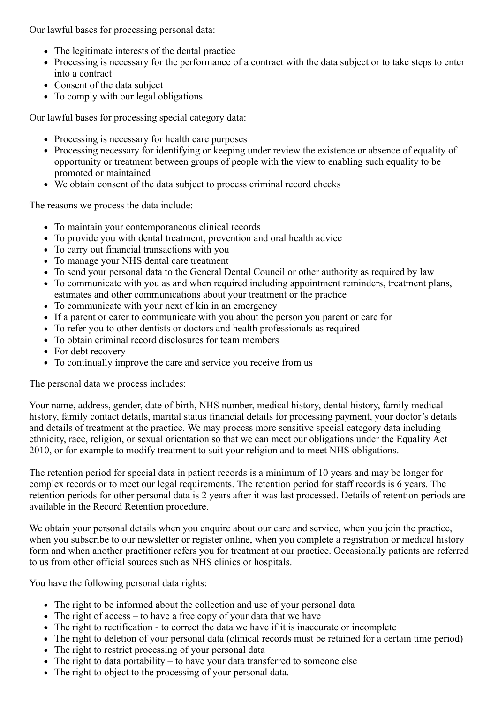Our lawful bases for processing personal data:

- The legitimate interests of the dental practice
- Processing is necessary for the performance of a contract with the data subject or to take steps to enter into a contract
- Consent of the data subject
- To comply with our legal obligations

Our lawful bases for processing special category data:

- Processing is necessary for health care purposes
- Processing necessary for identifying or keeping under review the existence or absence of equality of opportunity or treatment between groups of people with the view to enabling such equality to be promoted or maintained
- We obtain consent of the data subject to process criminal record checks

The reasons we process the data include:

- To maintain your contemporaneous clinical records
- To provide you with dental treatment, prevention and oral health advice
- To carry out financial transactions with you
- To manage your NHS dental care treatment
- To send your personal data to the General Dental Council or other authority as required by law
- To communicate with you as and when required including appointment reminders, treatment plans, estimates and other communications about your treatment or the practice
- To communicate with your next of kin in an emergency
- If a parent or carer to communicate with you about the person you parent or care for
- To refer you to other dentists or doctors and health professionals as required
- To obtain criminal record disclosures for team members
- For debt recovery
- To continually improve the care and service you receive from us

The personal data we process includes:

Your name, address, gender, date of birth, NHS number, medical history, dental history, family medical history, family contact details, marital status financial details for processing payment, your doctor's details and details of treatment at the practice. We may process more sensitive special category data including ethnicity, race, religion, or sexual orientation so that we can meet our obligations under the Equality Act 2010, or for example to modify treatment to suit your religion and to meet NHS obligations.

The retention period for special data in patient records is a minimum of 10 years and may be longer for complex records or to meet our legal requirements. The retention period for staff records is 6 years. The retention periods for other personal data is 2 years after it was last processed. Details of retention periods are available in the Record Retention procedure.

We obtain your personal details when you enquire about our care and service, when you join the practice, when you subscribe to our newsletter or register online, when you complete a registration or medical history form and when another practitioner refers you for treatment at our practice. Occasionally patients are referred to us from other official sources such as NHS clinics or hospitals.

You have the following personal data rights:

- The right to be informed about the collection and use of your personal data
- The right of access to have a free copy of your data that we have
- The right to rectification to correct the data we have if it is inaccurate or incomplete
- The right to deletion of your personal data (clinical records must be retained for a certain time period)
- The right to restrict processing of your personal data
- The right to data portability to have your data transferred to someone else
- The right to object to the processing of your personal data.